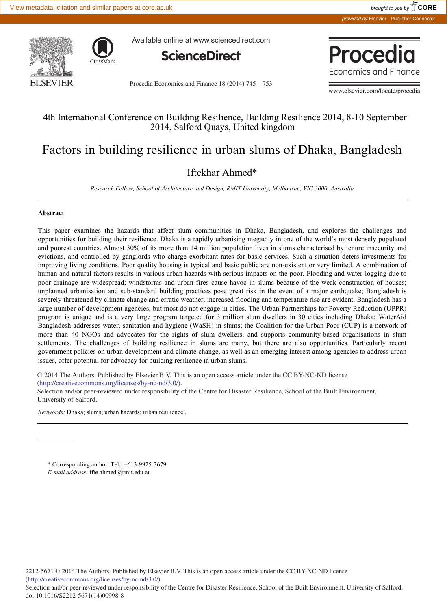

Available online at www.sciencedirect.com



Procedia Economics and Finance 18 (2014) 745 – 753



www.elsevier.com/locate/procedia

# 4th International Conference on Building Resilience, Building Resilience 2014, 8-10 September 2014, Salford Quays, United kingdom

# Factors in building resilience in urban slums of Dhaka, Bangladesh

# Iftekhar Ahmed\*

*Research Fellow, School of Architecture and Design, RMIT University, Melbourne, VIC 3000, Australia* 

## **Abstract**

This paper examines the hazards that affect slum communities in Dhaka, Bangladesh, and explores the challenges and opportunities for building their resilience. Dhaka is a rapidly urbanising megacity in one of the world's most densely populated and poorest countries. Almost 30% of its more than 14 million population lives in slums characterised by tenure insecurity and evictions, and controlled by ganglords who charge exorbitant rates for basic services. Such a situation deters investments for improving living conditions. Poor quality housing is typical and basic public are non-existent or very limited. A combination of human and natural factors results in various urban hazards with serious impacts on the poor. Flooding and water-logging due to poor drainage are widespread; windstorms and urban fires cause havoc in slums because of the weak construction of houses; unplanned urbanisation and sub-standard building practices pose great risk in the event of a major earthquake; Bangladesh is severely threatened by climate change and erratic weather, increased flooding and temperature rise are evident. Bangladesh has a large number of development agencies, but most do not engage in cities. The Urban Partnerships for Poverty Reduction (UPPR) program is unique and is a very large program targeted for 3 million slum dwellers in 30 cities including Dhaka; WaterAid Bangladesh addresses water, sanitation and hygiene (WaSH) in slums; the Coalition for the Urban Poor (CUP) is a network of more than 40 NGOs and advocates for the rights of slum dwellers, and supports community-based organisations in slum settlements. The challenges of building resilience in slums are many, but there are also opportunities. Particularly recent government policies on urban development and climate change, as well as an emerging interest among agencies to address urban issues, offer potential for advocacy for building resilience in urban slums.

© 2014 The Authors. Published by Elsevier B.V. © 2014 The Authors. Published by Elsevier B.V. This is an open access article under the CC BY-NC-ND license  $\sum_{i=1}^{\infty}$  and  $\sum_{i=1}^{\infty}$  performance of the Huddersfield Centre for Disaster Resilience, University of the Huddersfield Centre for Disaster Resilience, University of the University of the University of the Univers (http://creativecommons.org/licenses/by-nc-nd/3.0/).

Selection and/or peer-reviewed under responsibility of the Centre for Disaster Resilience, School of the Built Environment, University of Salford.

*Keywords:* Dhaka; slums; urban hazards; urban resilience .

\* Corresponding author. Tel.: +613-9925-3679 *E-mail address:* ifte.ahmed@rmit.edu.au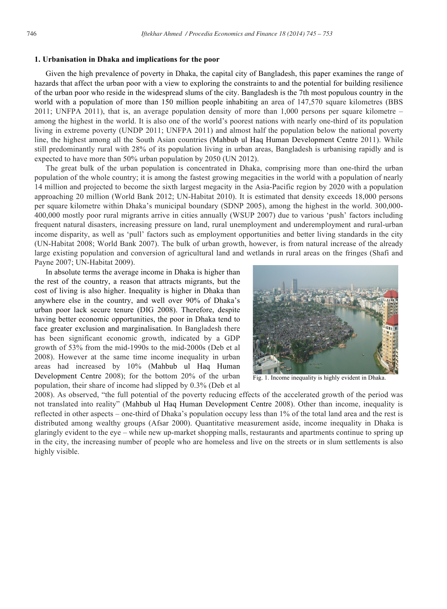## **1. Urbanisation in Dhaka and implications for the poor**

Given the high prevalence of poverty in Dhaka, the capital city of Bangladesh, this paper examines the range of hazards that affect the urban poor with a view to exploring the constraints to and the potential for building resilience of the urban poor who reside in the widespread slums of the city. Bangladesh is the 7th most populous country in the world with a population of more than 150 million people inhabiting an area of 147,570 square kilometres (BBS) 2011; UNFPA 2011), that is, an average population density of more than 1,000 persons per square kilometre – among the highest in the world. It is also one of the world's poorest nations with nearly one-third of its population living in extreme poverty (UNDP 2011; UNFPA 2011) and almost half the population below the national poverty line, the highest among all the South Asian countries (Mahbub ul Haq Human Development Centre 2011). While still predominantly rural with 28% of its population living in urban areas, Bangladesh is urbanising rapidly and is expected to have more than 50% urban population by 2050 (UN 2012).

The great bulk of the urban population is concentrated in Dhaka, comprising more than one-third the urban population of the whole country; it is among the fastest growing megacities in the world with a population of nearly 14 million and projected to become the sixth largest megacity in the Asia-Pacific region by 2020 with a population approaching 20 million (World Bank 2012; UN-Habitat 2010). It is estimated that density exceeds 18,000 persons per square kilometre within Dhaka's municipal boundary (SDNP 2005), among the highest in the world. 300,000- 400,000 mostly poor rural migrants arrive in cities annually (WSUP 2007) due to various 'push' factors including frequent natural disasters, increasing pressure on land, rural unemployment and underemployment and rural-urban income disparity, as well as 'pull' factors such as employment opportunities and better living standards in the city (UN-Habitat 2008; World Bank 2007). The bulk of urban growth, however, is from natural increase of the already large existing population and conversion of agricultural land and wetlands in rural areas on the fringes (Shafi and Payne 2007; UN-Habitat 2009).

In absolute terms the average income in Dhaka is higher than the rest of the country, a reason that attracts migrants, but the cost of living is also higher. Inequality is higher in Dhaka than anywhere else in the country, and well over 90% of Dhaka's urban poor lack secure tenure (DIG 2008). Therefore, despite having better economic opportunities, the poor in Dhaka tend to face greater exclusion and marginalisation. In Bangladesh there has been significant economic growth, indicated by a GDP growth of 53% from the mid-1990s to the mid-2000s (Deb et al 2008). However at the same time income inequality in urban areas had increased by 10% (Mahbub ul Haq Human Development Centre 2008); for the bottom 20% of the urban population, their share of income had slipped by 0.3% (Deb et al



Fig. 1. Income inequality is highly evident in Dhaka.

2008). As observed, "the full potential of the poverty reducing effects of the accelerated growth of the period was not translated into reality" (Mahbub ul Haq Human Development Centre 2008). Other than income, inequality is reflected in other aspects – one-third of Dhaka's population occupy less than 1% of the total land area and the rest is distributed among wealthy groups (Afsar 2000). Quantitative measurement aside, income inequality in Dhaka is glaringly evident to the eye – while new up-market shopping malls, restaurants and apartments continue to spring up in the city, the increasing number of people who are homeless and live on the streets or in slum settlements is also highly visible.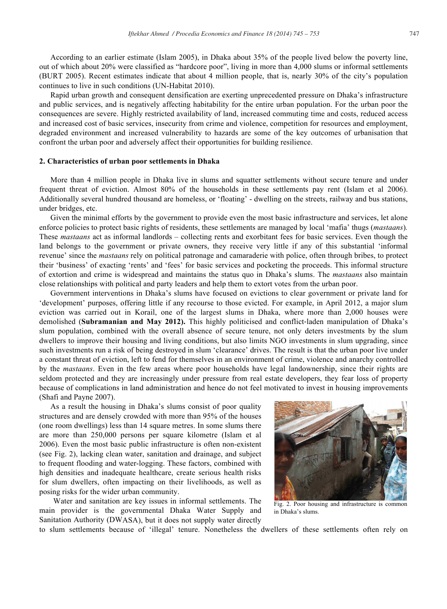According to an earlier estimate (Islam 2005), in Dhaka about 35% of the people lived below the poverty line, out of which about 20% were classified as "hardcore poor", living in more than 4,000 slums or informal settlements (BURT 2005). Recent estimates indicate that about 4 million people, that is, nearly 30% of the city's population continues to live in such conditions (UN-Habitat 2010).

Rapid urban growth and consequent densification are exerting unprecedented pressure on Dhaka's infrastructure and public services, and is negatively affecting habitability for the entire urban population. For the urban poor the consequences are severe. Highly restricted availability of land, increased commuting time and costs, reduced access and increased cost of basic services, insecurity from crime and violence, competition for resources and employment, degraded environment and increased vulnerability to hazards are some of the key outcomes of urbanisation that confront the urban poor and adversely affect their opportunities for building resilience.

# **2. Characteristics of urban poor settlements in Dhaka**

More than 4 million people in Dhaka live in slums and squatter settlements without secure tenure and under frequent threat of eviction. Almost 80% of the households in these settlements pay rent (Islam et al 2006). Additionally several hundred thousand are homeless, or 'floating' - dwelling on the streets, railway and bus stations, under bridges, etc.

Given the minimal efforts by the government to provide even the most basic infrastructure and services, let alone enforce policies to protect basic rights of residents, these settlements are managed by local 'mafia' thugs (*mastaans*)*.*  These *mastaans* act as informal landlords – collecting rents and exorbitant fees for basic services. Even though the land belongs to the government or private owners, they receive very little if any of this substantial 'informal revenue' since the *mastaans* rely on political patronage and camaraderie with police, often through bribes, to protect their 'business' of exacting 'rents' and 'fees' for basic services and pocketing the proceeds. This informal structure of extortion and crime is widespread and maintains the status quo in Dhaka's slums. The *mastaans* also maintain close relationships with political and party leaders and help them to extort votes from the urban poor.

Government interventions in Dhaka's slums have focused on evictions to clear government or private land for 'development' purposes, offering little if any recourse to those evicted. For example, in April 2012, a major slum eviction was carried out in Korail, one of the largest slums in Dhaka, where more than 2,000 houses were demolished (Subramanian and May 2012). This highly politicised and conflict-laden manipulation of Dhaka's slum population, combined with the overall absence of secure tenure, not only deters investments by the slum dwellers to improve their housing and living conditions, but also limits NGO investments in slum upgrading, since such investments run a risk of being destroyed in slum 'clearance' drives. The result is that the urban poor live under a constant threat of eviction, left to fend for themselves in an environment of crime, violence and anarchy controlled by the *mastaans*. Even in the few areas where poor households have legal landownership, since their rights are seldom protected and they are increasingly under pressure from real estate developers, they fear loss of property because of complications in land administration and hence do not feel motivated to invest in housing improvements (Shafi and Payne 2007).

As a result the housing in Dhaka's slums consist of poor quality structures and are densely crowded with more than 95% of the houses (one room dwellings) less than 14 square metres. In some slums there are more than 250,000 persons per square kilometre (Islam et al 2006). Even the most basic public infrastructure is often non-existent (see Fig. 2), lacking clean water, sanitation and drainage, and subject to frequent flooding and water-logging. These factors, combined with high densities and inadequate healthcare, create serious health risks for slum dwellers, often impacting on their livelihoods, as well as posing risks for the wider urban community.

Water and sanitation are key issues in informal settlements. The main provider is the governmental Dhaka Water Supply and Sanitation Authority (DWASA), but it does not supply water directly



Fig. 2. Poor housing and infrastructure is common in Dhaka's slums.

to slum settlements because of 'illegal' tenure. Nonetheless the dwellers of these settlements often rely on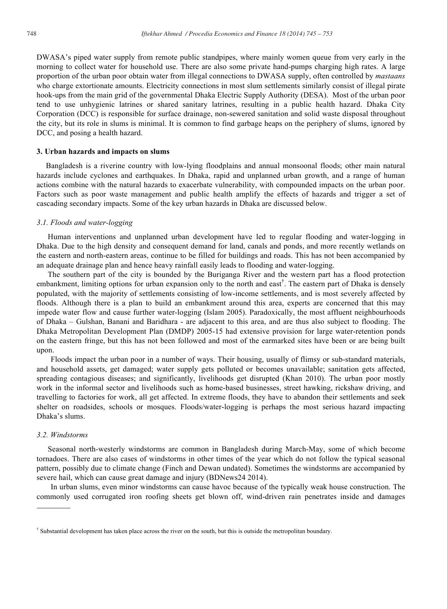DWASA's piped water supply from remote public standpipes, where mainly women queue from very early in the morning to collect water for household use. There are also some private hand-pumps charging high rates. A large proportion of the urban poor obtain water from illegal connections to DWASA supply, often controlled by *mastaans* who charge extortionate amounts. Electricity connections in most slum settlements similarly consist of illegal pirate hook-ups from the main grid of the governmental Dhaka Electric Supply Authority (DESA). Most of the urban poor tend to use unhygienic latrines or shared sanitary latrines, resulting in a public health hazard. Dhaka City Corporation (DCC) is responsible for surface drainage, non-sewered sanitation and solid waste disposal throughout the city, but its role in slums is minimal. It is common to find garbage heaps on the periphery of slums, ignored by DCC, and posing a health hazard.

#### **3. Urban hazards and impacts on slums**

Bangladesh is a riverine country with low-lying floodplains and annual monsoonal floods; other main natural hazards include cyclones and earthquakes. In Dhaka, rapid and unplanned urban growth, and a range of human actions combine with the natural hazards to exacerbate vulnerability, with compounded impacts on the urban poor. Factors such as poor waste management and public health amplify the effects of hazards and trigger a set of cascading secondary impacts. Some of the key urban hazards in Dhaka are discussed below.

#### *3*.*1. Floods and water-logging*

Human interventions and unplanned urban development have led to regular flooding and water-logging in Dhaka. Due to the high density and consequent demand for land, canals and ponds, and more recently wetlands on the eastern and north-eastern areas, continue to be filled for buildings and roads. This has not been accompanied by an adequate drainage plan and hence heavy rainfall easily leads to flooding and water-logging.

The southern part of the city is bounded by the Buriganga River and the western part has a flood protection embankment, limiting options for urban expansion only to the north and east<sup>†</sup>. The eastern part of Dhaka is densely populated, with the majority of settlements consisting of low-income settlements, and is most severely affected by floods. Although there is a plan to build an embankment around this area, experts are concerned that this may impede water flow and cause further water-logging (Islam 2005). Paradoxically, the most affluent neighbourhoods of Dhaka – Gulshan, Banani and Baridhara - are adjacent to this area, and are thus also subject to flooding. The Dhaka Metropolitan Development Plan (DMDP) 2005-15 had extensive provision for large water-retention ponds on the eastern fringe, but this has not been followed and most of the earmarked sites have been or are being built upon.

Floods impact the urban poor in a number of ways. Their housing, usually of flimsy or sub-standard materials, and household assets, get damaged; water supply gets polluted or becomes unavailable; sanitation gets affected, spreading contagious diseases; and significantly, livelihoods get disrupted (Khan 2010). The urban poor mostly work in the informal sector and livelihoods such as home-based businesses, street hawking, rickshaw driving, and travelling to factories for work, all get affected. In extreme floods, they have to abandon their settlements and seek shelter on roadsides, schools or mosques. Floods/water-logging is perhaps the most serious hazard impacting Dhaka's slums.

# *3.2. Windstorms*

Seasonal north-westerly windstorms are common in Bangladesh during March-May, some of which become tornadoes. There are also cases of windstorms in other times of the year which do not follow the typical seasonal pattern, possibly due to climate change (Finch and Dewan undated). Sometimes the windstorms are accompanied by severe hail, which can cause great damage and injury (BDNews24 2014).

In urban slums, even minor windstorms can cause havoc because of the typically weak house construction. The commonly used corrugated iron roofing sheets get blown off, wind-driven rain penetrates inside and damages

<sup>&</sup>lt;sup>†</sup> Substantial development has taken place across the river on the south, but this is outside the metropolitan boundary.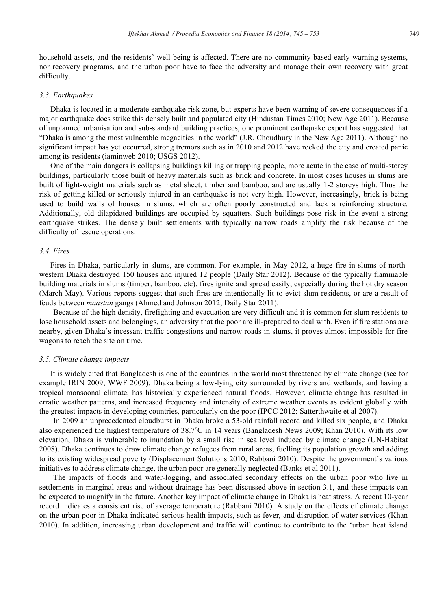household assets, and the residents' well-being is affected. There are no community-based early warning systems, nor recovery programs, and the urban poor have to face the adversity and manage their own recovery with great difficulty.

#### *3.3. Earthquakes*

Dhaka is located in a moderate earthquake risk zone, but experts have been warning of severe consequences if a major earthquake does strike this densely built and populated city (Hindustan Times 2010; New Age 2011). Because of unplanned urbanisation and sub-standard building practices, one prominent earthquake expert has suggested that "Dhaka is among the most vulnerable megacities in the world" (J.R. Choudhury in the New Age 2011). Although no significant impact has yet occurred, strong tremors such as in 2010 and 2012 have rocked the city and created panic among its residents (iaminweb 2010; USGS 2012).

One of the main dangers is collapsing buildings killing or trapping people, more acute in the case of multi-storey buildings, particularly those built of heavy materials such as brick and concrete. In most cases houses in slums are built of light-weight materials such as metal sheet, timber and bamboo, and are usually 1-2 storeys high. Thus the risk of getting killed or seriously injured in an earthquake is not very high. However, increasingly, brick is being used to build walls of houses in slums, which are often poorly constructed and lack a reinforcing structure. Additionally, old dilapidated buildings are occupied by squatters. Such buildings pose risk in the event a strong earthquake strikes. The densely built settlements with typically narrow roads amplify the risk because of the difficulty of rescue operations.

# *3.4. Fires*

Fires in Dhaka, particularly in slums, are common. For example, in May 2012, a huge fire in slums of northwestern Dhaka destroyed 150 houses and injured 12 people (Daily Star 2012). Because of the typically flammable building materials in slums (timber, bamboo, etc), fires ignite and spread easily, especially during the hot dry season (March-May). Various reports suggest that such fires are intentionally lit to evict slum residents, or are a result of feuds between *maastan* gangs (Ahmed and Johnson 2012; Daily Star 2011).

 Because of the high density, firefighting and evacuation are very difficult and it is common for slum residents to lose household assets and belongings, an adversity that the poor are ill-prepared to deal with. Even if fire stations are nearby, given Dhaka's incessant traffic congestions and narrow roads in slums, it proves almost impossible for fire wagons to reach the site on time.

#### *3.5. Climate change impacts*

It is widely cited that Bangladesh is one of the countries in the world most threatened by climate change (see for example IRIN 2009; WWF 2009). Dhaka being a low-lying city surrounded by rivers and wetlands, and having a tropical monsoonal climate, has historically experienced natural floods. However, climate change has resulted in erratic weather patterns, and increased frequency and intensity of extreme weather events as evident globally with the greatest impacts in developing countries, particularly on the poor (IPCC 2012; Satterthwaite et al 2007).

 In 2009 an unprecedented cloudburst in Dhaka broke a 53-old rainfall record and killed six people, and Dhaka also experienced the highest temperature of 38.7°C in 14 years (Bangladesh News 2009; Khan 2010). With its low elevation, Dhaka is vulnerable to inundation by a small rise in sea level induced by climate change (UN-Habitat 2008). Dhaka continues to draw climate change refugees from rural areas, fuelling its population growth and adding to its existing widespread poverty (Displacement Solutions 2010; Rabbani 2010). Despite the government's various initiatives to address climate change, the urban poor are generally neglected (Banks et al 2011).

 The impacts of floods and water-logging, and associated secondary effects on the urban poor who live in settlements in marginal areas and without drainage has been discussed above in section 3.1, and these impacts can be expected to magnify in the future. Another key impact of climate change in Dhaka is heat stress. A recent 10-year record indicates a consistent rise of average temperature (Rabbani 2010). A study on the effects of climate change on the urban poor in Dhaka indicated serious health impacts, such as fever, and disruption of water services (Khan 2010). In addition, increasing urban development and traffic will continue to contribute to the 'urban heat island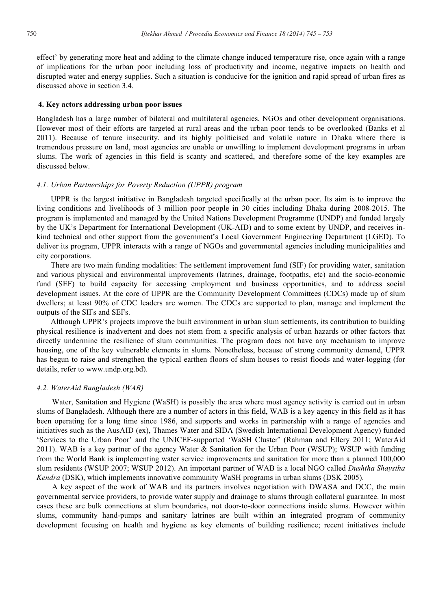effect' by generating more heat and adding to the climate change induced temperature rise, once again with a range of implications for the urban poor including loss of productivity and income, negative impacts on health and disrupted water and energy supplies. Such a situation is conducive for the ignition and rapid spread of urban fires as discussed above in section 3.4.

#### **4. Key actors addressing urban poor issues**

Bangladesh has a large number of bilateral and multilateral agencies, NGOs and other development organisations. However most of their efforts are targeted at rural areas and the urban poor tends to be overlooked (Banks et al 2011). Because of tenure insecurity, and its highly politicised and volatile nature in Dhaka where there is tremendous pressure on land, most agencies are unable or unwilling to implement development programs in urban slums. The work of agencies in this field is scanty and scattered, and therefore some of the key examples are discussed below.

# *4.1. Urban Partnerships for Poverty Reduction (UPPR) program*

UPPR is the largest initiative in Bangladesh targeted specifically at the urban poor. Its aim is to improve the living conditions and livelihoods of 3 million poor people in 30 cities including Dhaka during 2008-2015. The program is implemented and managed by the United Nations Development Programme (UNDP) and funded largely by the UK's Department for International Development (UK-AID) and to some extent by UNDP, and receives inkind technical and other support from the government's Local Government Engineering Department (LGED). To deliver its program, UPPR interacts with a range of NGOs and governmental agencies including municipalities and city corporations.

There are two main funding modalities: The settlement improvement fund (SIF) for providing water, sanitation and various physical and environmental improvements (latrines, drainage, footpaths, etc) and the socio-economic fund (SEF) to build capacity for accessing employment and business opportunities, and to address social development issues. At the core of UPPR are the Community Development Committees (CDCs) made up of slum dwellers; at least 90% of CDC leaders are women. The CDCs are supported to plan, manage and implement the outputs of the SIFs and SEFs.

Although UPPR's projects improve the built environment in urban slum settlements, its contribution to building physical resilience is inadvertent and does not stem from a specific analysis of urban hazards or other factors that directly undermine the resilience of slum communities. The program does not have any mechanism to improve housing, one of the key vulnerable elements in slums. Nonetheless, because of strong community demand, UPPR has begun to raise and strengthen the typical earthen floors of slum houses to resist floods and water-logging (for details, refer to www.undp.org.bd).

# *4.2. WaterAid Bangladesh (WAB)*

Water, Sanitation and Hygiene (WaSH) is possibly the area where most agency activity is carried out in urban slums of Bangladesh. Although there are a number of actors in this field, WAB is a key agency in this field as it has been operating for a long time since 1986, and supports and works in partnership with a range of agencies and initiatives such as the AusAID (ex), Thames Water and SIDA (Swedish International Development Agency) funded 'Services to the Urban Poor' and the UNICEF-supported 'WaSH Cluster' (Rahman and Ellery 2011; WaterAid 2011). WAB is a key partner of the agency Water & Sanitation for the Urban Poor (WSUP); WSUP with funding from the World Bank is implementing water service improvements and sanitation for more than a planned 100,000 slum residents (WSUP 2007; WSUP 2012). An important partner of WAB is a local NGO called *Dushtha Shaystha Kendra* (DSK), which implements innovative community WaSH programs in urban slums (DSK 2005).

A key aspect of the work of WAB and its partners involves negotiation with DWASA and DCC, the main governmental service providers, to provide water supply and drainage to slums through collateral guarantee. In most cases these are bulk connections at slum boundaries, not door-to-door connections inside slums. However within slums, community hand-pumps and sanitary latrines are built within an integrated program of community development focusing on health and hygiene as key elements of building resilience; recent initiatives include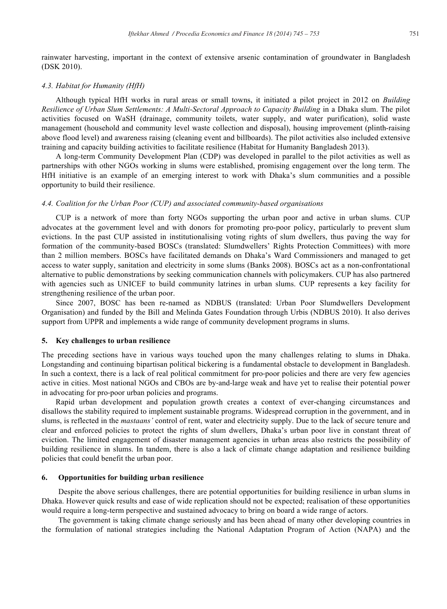rainwater harvesting, important in the context of extensive arsenic contamination of groundwater in Bangladesh (DSK 2010).

# *4.3. Habitat for Humanity (HfH)*

 Although typical HfH works in rural areas or small towns, it initiated a pilot project in 2012 on *Building Resilience of Urban Slum Settlements: A Multi-Sectoral Approach to Capacity Building* in a Dhaka slum. The pilot activities focused on WaSH (drainage, community toilets, water supply, and water purification), solid waste management (household and community level waste collection and disposal), housing improvement (plinth-raising above flood level) and awareness raising (cleaning event and billboards). The pilot activities also included extensive training and capacity building activities to facilitate resilience (Habitat for Humanity Bangladesh 2013).

 A long-term Community Development Plan (CDP) was developed in parallel to the pilot activities as well as partnerships with other NGOs working in slums were established, promising engagement over the long term. The HfH initiative is an example of an emerging interest to work with Dhaka's slum communities and a possible opportunity to build their resilience.

#### *4.4. Coalition for the Urban Poor (CUP) and associated community-based organisations*

 CUP is a network of more than forty NGOs supporting the urban poor and active in urban slums. CUP advocates at the government level and with donors for promoting pro-poor policy, particularly to prevent slum evictions. In the past CUP assisted in institutionalising voting rights of slum dwellers, thus paving the way for formation of the community-based BOSCs (translated: Slumdwellers' Rights Protection Committees) with more than 2 million members. BOSCs have facilitated demands on Dhaka's Ward Commissioners and managed to get access to water supply, sanitation and electricity in some slums (Banks 2008). BOSCs act as a non-confrontational alternative to public demonstrations by seeking communication channels with policymakers. CUP has also partnered with agencies such as UNICEF to build community latrines in urban slums. CUP represents a key facility for strengthening resilience of the urban poor.

 Since 2007, BOSC has been re-named as NDBUS (translated: Urban Poor Slumdwellers Development Organisation) and funded by the Bill and Melinda Gates Foundation through Urbis (NDBUS 2010). It also derives support from UPPR and implements a wide range of community development programs in slums.

#### **5. Key challenges to urban resilience**

The preceding sections have in various ways touched upon the many challenges relating to slums in Dhaka. Longstanding and continuing bipartisan political bickering is a fundamental obstacle to development in Bangladesh. In such a context, there is a lack of real political commitment for pro-poor policies and there are very few agencies active in cities. Most national NGOs and CBOs are by-and-large weak and have yet to realise their potential power in advocating for pro-poor urban policies and programs.

Rapid urban development and population growth creates a context of ever-changing circumstances and disallows the stability required to implement sustainable programs. Widespread corruption in the government, and in slums, is reflected in the *mastaans'* control of rent, water and electricity supply. Due to the lack of secure tenure and clear and enforced policies to protect the rights of slum dwellers, Dhaka's urban poor live in constant threat of eviction. The limited engagement of disaster management agencies in urban areas also restricts the possibility of building resilience in slums. In tandem, there is also a lack of climate change adaptation and resilience building policies that could benefit the urban poor.

# **6. Opportunities for building urban resilience**

Despite the above serious challenges, there are potential opportunities for building resilience in urban slums in Dhaka. However quick results and ease of wide replication should not be expected; realisation of these opportunities would require a long-term perspective and sustained advocacy to bring on board a wide range of actors.

The government is taking climate change seriously and has been ahead of many other developing countries in the formulation of national strategies including the National Adaptation Program of Action (NAPA) and the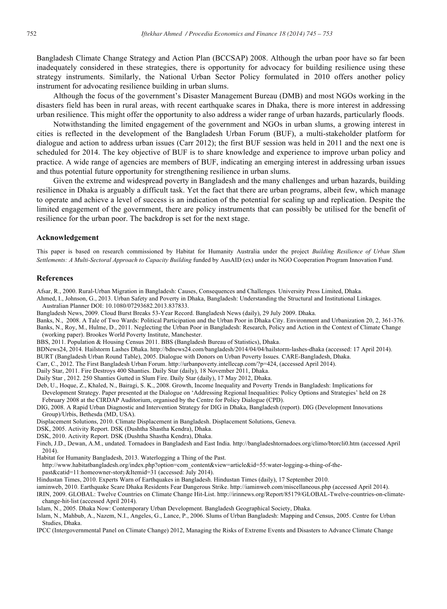Bangladesh Climate Change Strategy and Action Plan (BCCSAP) 2008. Although the urban poor have so far been inadequately considered in these strategies, there is opportunity for advocacy for building resilience using these strategy instruments. Similarly, the National Urban Sector Policy formulated in 2010 offers another policy instrument for advocating resilience building in urban slums.

Although the focus of the government's Disaster Management Bureau (DMB) and most NGOs working in the disasters field has been in rural areas, with recent earthquake scares in Dhaka, there is more interest in addressing urban resilience. This might offer the opportunity to also address a wider range of urban hazards, particularly floods.

Notwithstanding the limited engagement of the government and NGOs in urban slums, a growing interest in cities is reflected in the development of the Bangladesh Urban Forum (BUF), a multi-stakeholder platform for dialogue and action to address urban issues (Carr 2012); the first BUF session was held in 2011 and the next one is scheduled for 2014. The key objective of BUF is to share knowledge and experience to improve urban policy and practice. A wide range of agencies are members of BUF, indicating an emerging interest in addressing urban issues and thus potential future opportunity for strengthening resilience in urban slums.

Given the extreme and widespread poverty in Bangladesh and the many challenges and urban hazards, building resilience in Dhaka is arguably a difficult task. Yet the fact that there are urban programs, albeit few, which manage to operate and achieve a level of success is an indication of the potential for scaling up and replication. Despite the limited engagement of the government, there are policy instruments that can possibly be utilised for the benefit of resilience for the urban poor. The backdrop is set for the next stage.

#### **Acknowledgement**

This paper is based on research commissioned by Habitat for Humanity Australia under the project *Building Resilience of Urban Slum Settlements: A Multi-Sectoral Approach to Capacity Building* funded by AusAID (ex) under its NGO Cooperation Program Innovation Fund.

#### **References**

Afsar, R., 2000. Rural-Urban Migration in Bangladesh: Causes, Consequences and Challenges*.* University Press Limited, Dhaka.

Ahmed, I., Johnson, G., 2013. Urban Safety and Poverty in Dhaka, Bangladesh: Understanding the Structural and Institutional Linkages. Australian Planner DOI: 10.1080/07293682.2013.837833.

Bangladesh News, 2009. Cloud Burst Breaks 53-Year Record. Bangladesh News (daily), 29 July 2009. Dhaka.

Banks, N., 2008. A Tale of Two Wards: Political Participation and the Urban Poor in Dhaka City. Environment and Urbanization 20, 2, 361-376. Banks, N., Roy, M., Hulme, D., 2011. Neglecting the Urban Poor in Bangladesh: Research, Policy and Action in the Context of Climate Change (working paper). Brookes World Poverty Institute, Manchester.

BBS, 2011. Population & Housing Census 2011. BBS (Bangladesh Bureau of Statistics), Dhaka.

BDNews24, 2014. Hailstorm Lashes Dhaka. http://bdnews24.com/bangladesh/2014/04/04/hailstorm-lashes-dhaka (accessed: 17 April 2014).

BURT (Bangladesh Urban Round Table), 2005. Dialogue with Donors on Urban Poverty Issues*.* CARE-Bangladesh, Dhaka.

Carr, C., 2012. The First Bangladesh Urban Forum. http://urbanpoverty.intellecap.com/?p=424, (accessed April 2014).

Daily Star, 2011. Fire Destroys 400 Shanties. Daily Star (daily), 18 November 2011, Dhaka.

Daily Star , 2012. 250 Shanties Gutted in Slum Fire. Daily Star (daily), 17 May 2012, Dhaka.

- Deb, U., Hoque, Z., Khaled, N., Bairagi, S. K., 2008. Growth, Income Inequality and Poverty Trends in Bangladesh: Implications for Development Strategy. Paper presented at the Dialogue on 'Addressing Regional Inequalities: Policy Options and Strategies' held on 28 February 2008 at the CIRDAP Auditorium, organised by the Centre for Policy Dialogue (CPD).
- DIG, 2008. A Rapid Urban Diagnostic and Intervention Strategy for DIG in Dhaka, Bangladesh (report). DIG (Development Innovations Group)/Urbis, Bethesda (MD, USA).

Displacement Solutions, 2010. Climate Displacement in Bangladesh. Displacement Solutions, Geneva.

- DSK, 2005. Activity Report. DSK (Dushtha Shastha Kendra), Dhaka.
- DSK, 2010. Activity Report. DSK (Dushtha Shastha Kendra), Dhaka.

Finch, J.D., Dewan, A.M., undated. Tornadoes in Bangladesh and East India. http://bangladeshtornadoes.org/climo/btorcli0.htm (accessed April 2014).

Habitat for Humanity Bangladesh, 2013. Waterlogging a Thing of the Past.

http://www.habitatbangladesh.org/index.php?option=com\_content&view=article&id=55:water-logging-a-thing-of-the-

past&catid=11:homeowner-story&Itemid=31 (accessed: July 2014).

Hindustan Times, 2010. Experts Warn of Earthquakes in Bangladesh. Hindustan Times (daily), 17 September 2010.

iaminweb, 2010. Earthquake Scare Dhaka Residents Fear Dangerous Strike. http://iaminweb.com/miscellaneous.php (accessed April 2014).

IRIN, 2009. GLOBAL: Twelve Countries on Climate Change Hit-List. http://irinnews.org/Report/85179/GLOBAL-Twelve-countries-on-climatechange-hit-list (accessed April 2014).

Islam, N., 2005. Dhaka Now: Contemporary Urban Development. Bangladesh Geographical Society, Dhaka.

Islam, N., Mahbub, A., Nazem, N.I., Angeles, G., Lance, P., 2006. Slums of Urban Bangladesh: Mapping and Census, 2005. Centre for Urban Studies, Dhaka.

IPCC (Intergovernmental Panel on Climate Change) 2012, Managing the Risks of Extreme Events and Disasters to Advance Climate Change